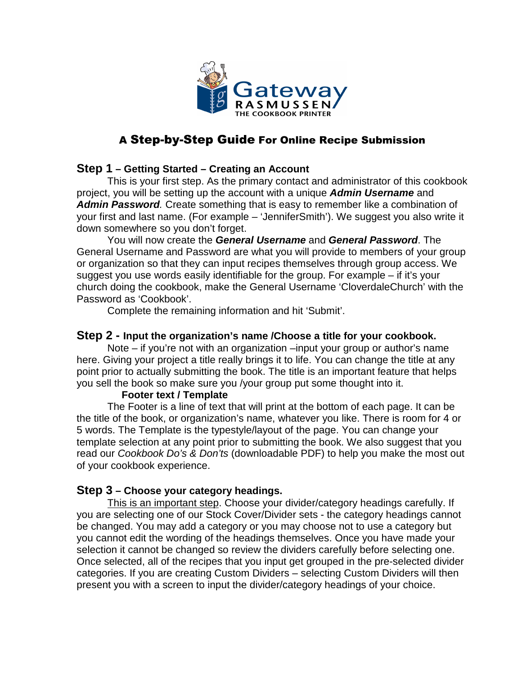

# A Step-by-Step Guide For Online Recipe Submission

## **Step 1 – Getting Started – Creating an Account**

 This is your first step. As the primary contact and administrator of this cookbook project, you will be setting up the account with a unique **Admin Username** and **Admin Password**. Create something that is easy to remember like a combination of your first and last name. (For example – 'JenniferSmith'). We suggest you also write it down somewhere so you don't forget.

 You will now create the **General Username** and **General Password**. The General Username and Password are what you will provide to members of your group or organization so that they can input recipes themselves through group access. We suggest you use words easily identifiable for the group. For example – if it's your church doing the cookbook, make the General Username 'CloverdaleChurch' with the Password as 'Cookbook'.

Complete the remaining information and hit 'Submit'.

#### **Step 2 - Input the organization's name /Choose a title for your cookbook.**

Note – if you're not with an organization –input your group or author's name here. Giving your project a title really brings it to life. You can change the title at any point prior to actually submitting the book. The title is an important feature that helps you sell the book so make sure you /your group put some thought into it.

#### **Footer text / Template**

 The Footer is a line of text that will print at the bottom of each page. It can be the title of the book, or organization's name, whatever you like. There is room for 4 or 5 words. The Template is the typestyle/layout of the page. You can change your template selection at any point prior to submitting the book. We also suggest that you read our Cookbook Do's & Don'ts (downloadable PDF) to help you make the most out of your cookbook experience.

## **Step 3 – Choose your category headings.**

This is an important step. Choose your divider/category headings carefully. If you are selecting one of our Stock Cover/Divider sets - the category headings cannot be changed. You may add a category or you may choose not to use a category but you cannot edit the wording of the headings themselves. Once you have made your selection it cannot be changed so review the dividers carefully before selecting one. Once selected, all of the recipes that you input get grouped in the pre-selected divider categories. If you are creating Custom Dividers – selecting Custom Dividers will then present you with a screen to input the divider/category headings of your choice.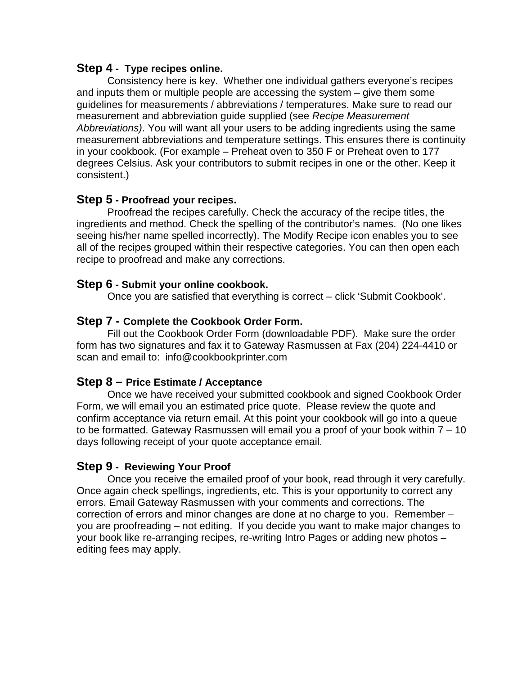#### **Step 4 - Type recipes online.**

Consistency here is key. Whether one individual gathers everyone's recipes and inputs them or multiple people are accessing the system – give them some guidelines for measurements / abbreviations / temperatures. Make sure to read our measurement and abbreviation guide supplied (see Recipe Measurement Abbreviations). You will want all your users to be adding ingredients using the same measurement abbreviations and temperature settings. This ensures there is continuity in your cookbook. (For example – Preheat oven to 350 F or Preheat oven to 177 degrees Celsius. Ask your contributors to submit recipes in one or the other. Keep it consistent.)

## **Step 5 - Proofread your recipes.**

Proofread the recipes carefully. Check the accuracy of the recipe titles, the ingredients and method. Check the spelling of the contributor's names. (No one likes seeing his/her name spelled incorrectly). The Modify Recipe icon enables you to see all of the recipes grouped within their respective categories. You can then open each recipe to proofread and make any corrections.

## **Step 6 - Submit your online cookbook.**

Once you are satisfied that everything is correct – click 'Submit Cookbook'.

## **Step 7 - Complete the Cookbook Order Form.**

Fill out the Cookbook Order Form (downloadable PDF). Make sure the order form has two signatures and fax it to Gateway Rasmussen at Fax (204) 224-4410 or scan and email to: info@cookbookprinter.com

## **Step 8 – Price Estimate / Acceptance**

Once we have received your submitted cookbook and signed Cookbook Order Form, we will email you an estimated price quote. Please review the quote and confirm acceptance via return email. At this point your cookbook will go into a queue to be formatted. Gateway Rasmussen will email you a proof of your book within 7 – 10 days following receipt of your quote acceptance email.

## **Step 9 - Reviewing Your Proof**

Once you receive the emailed proof of your book, read through it very carefully. Once again check spellings, ingredients, etc. This is your opportunity to correct any errors. Email Gateway Rasmussen with your comments and corrections. The correction of errors and minor changes are done at no charge to you. Remember – you are proofreading – not editing. If you decide you want to make major changes to your book like re-arranging recipes, re-writing Intro Pages or adding new photos – editing fees may apply.